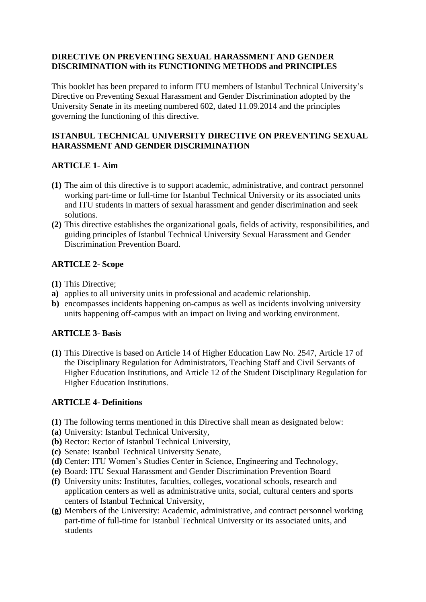### **DIRECTIVE ON PREVENTING SEXUAL HARASSMENT AND GENDER DISCRIMINATION with its FUNCTIONING METHODS and PRINCIPLES**

This booklet has been prepared to inform ITU members of Istanbul Technical University's Directive on Preventing Sexual Harassment and Gender Discrimination adopted by the University Senate in its meeting numbered 602, dated 11.09.2014 and the principles governing the functioning of this directive.

## **ISTANBUL TECHNICAL UNIVERSITY DIRECTIVE ON PREVENTING SEXUAL HARASSMENT AND GENDER DISCRIMINATION**

# **ARTICLE 1**- **Aim**

- **(1)** The aim of this directive is to support academic, administrative, and contract personnel working part-time or full-time for Istanbul Technical University or its associated units and ITU students in matters of sexual harassment and gender discrimination and seek solutions.
- **(2)** This directive establishes the organizational goals, fields of activity, responsibilities, and guiding principles of Istanbul Technical University Sexual Harassment and Gender Discrimination Prevention Board.

# **ARTICLE 2- Scope**

- **(1)** This Directive;
- **a)** applies to all university units in professional and academic relationship.
- **b)** encompasses incidents happening on-campus as well as incidents involving university units happening off-campus with an impact on living and working environment.

# **ARTICLE 3- Basis**

**(1)** This Directive is based on Article 14 of Higher Education Law No. 2547, Article 17 of the Disciplinary Regulation for Administrators, Teaching Staff and Civil Servants of Higher Education Institutions, and Article 12 of the Student Disciplinary Regulation for Higher Education Institutions.

### **ARTICLE 4- Definitions**

- **(1)** The following terms mentioned in this Directive shall mean as designated below:
- **(a)** University: Istanbul Technical University,
- **(b)** Rector: Rector of Istanbul Technical University,
- **(c)** Senate: Istanbul Technical University Senate,
- **(d)** Center: ITU Women's Studies Center in Science, Engineering and Technology,
- **(e)** Board: ITU Sexual Harassment and Gender Discrimination Prevention Board
- **(f)** University units: Institutes, faculties, colleges, vocational schools, research and application centers as well as administrative units, social, cultural centers and sports centers of Istanbul Technical University,
- **(g)** Members of the University: Academic, administrative, and contract personnel working part-time of full-time for Istanbul Technical University or its associated units, and students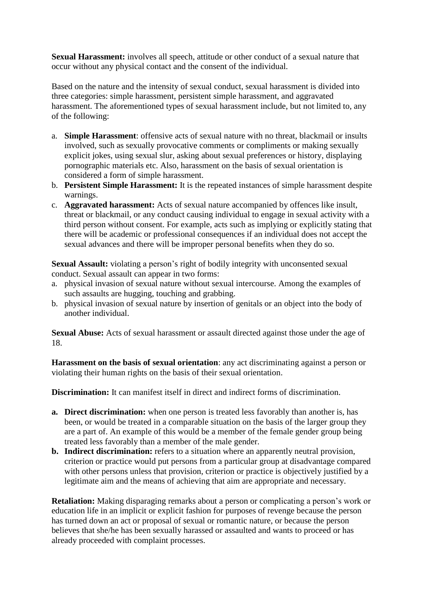**Sexual Harassment:** involves all speech, attitude or other conduct of a sexual nature that occur without any physical contact and the consent of the individual.

Based on the nature and the intensity of sexual conduct, sexual harassment is divided into three categories: simple harassment, persistent simple harassment, and aggravated harassment. The aforementioned types of sexual harassment include, but not limited to, any of the following:

- a. **Simple Harassment**: offensive acts of sexual nature with no threat, blackmail or insults involved, such as sexually provocative comments or compliments or making sexually explicit jokes, using sexual slur, asking about sexual preferences or history, displaying pornographic materials etc. Also, harassment on the basis of sexual orientation is considered a form of simple harassment.
- b. **Persistent Simple Harassment:** It is the repeated instances of simple harassment despite warnings.
- c. **Aggravated harassment:** Acts of sexual nature accompanied by offences like insult, threat or blackmail, or any conduct causing individual to engage in sexual activity with a third person without consent. For example, acts such as implying or explicitly stating that there will be academic or professional consequences if an individual does not accept the sexual advances and there will be improper personal benefits when they do so.

**Sexual Assault:** violating a person's right of bodily integrity with unconsented sexual conduct. Sexual assault can appear in two forms:

- a. physical invasion of sexual nature without sexual intercourse. Among the examples of such assaults are hugging, touching and grabbing.
- b. physical invasion of sexual nature by insertion of genitals or an object into the body of another individual.

**Sexual Abuse:** Acts of sexual harassment or assault directed against those under the age of 18.

**Harassment on the basis of sexual orientation**: any act discriminating against a person or violating their human rights on the basis of their sexual orientation.

**Discrimination:** It can manifest itself in direct and indirect forms of discrimination.

- **a. Direct discrimination:** when one person is treated less favorably than another is, has been, or would be treated in a comparable situation on the basis of the larger group they are a part of. An example of this would be a member of the female gender group being treated less favorably than a member of the male gender.
- **b. Indirect discrimination:** refers to a situation where an apparently neutral provision, criterion or practice would put persons from a particular group at disadvantage compared with other persons unless that provision, criterion or practice is objectively justified by a legitimate aim and the means of achieving that aim are appropriate and necessary.

**Retaliation:** Making disparaging remarks about a person or complicating a person's work or education life in an implicit or explicit fashion for purposes of revenge because the person has turned down an act or proposal of sexual or romantic nature, or because the person believes that she/he has been sexually harassed or assaulted and wants to proceed or has already proceeded with complaint processes.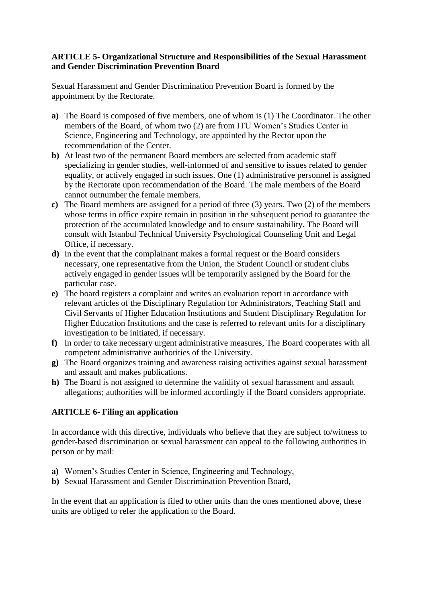#### **ARTICLE 5- Organizational Structure and Responsibilities of the Sexual Harassment and Gender Discrimination Prevention Board**

Sexual Harassment and Gender Discrimination Prevention Board is formed by the appointment by the Rectorate.

- **a)** The Board is composed of five members, one of whom is (1) The Coordinator. The other members of the Board, of whom two (2) are from ITU Women's Studies Center in Science, Engineering and Technology, are appointed by the Rector upon the recommendation of the Center.
- **b)** At least two of the permanent Board members are selected from academic staff specializing in gender studies, well-informed of and sensitive to issues related to gender equality, or actively engaged in such issues. One (1) administrative personnel is assigned by the Rectorate upon recommendation of the Board. The male members of the Board cannot outnumber the female members.
- **c)** The Board members are assigned for a period of three (3) years. Two (2) of the members whose terms in office expire remain in position in the subsequent period to guarantee the protection of the accumulated knowledge and to ensure sustainability. The Board will consult with Istanbul Technical University Psychological Counseling Unit and Legal Office, if necessary.
- **d)** In the event that the complainant makes a formal request or the Board considers necessary, one representative from the Union, the Student Council or student clubs actively engaged in gender issues will be temporarily assigned by the Board for the particular case.
- **e)** The board registers a complaint and writes an evaluation report in accordance with relevant articles of the Disciplinary Regulation for Administrators, Teaching Staff and Civil Servants of Higher Education Institutions and Student Disciplinary Regulation for Higher Education Institutions and the case is referred to relevant units for a disciplinary investigation to be initiated, if necessary.
- **f)** In order to take necessary urgent administrative measures, The Board cooperates with all competent administrative authorities of the University.
- **g)** The Board organizes training and awareness raising activities against sexual harassment and assault and makes publications.
- **h)** The Board is not assigned to determine the validity of sexual harassment and assault allegations; authorities will be informed accordingly if the Board considers appropriate.

### **ARTICLE 6- Filing an application**

In accordance with this directive, individuals who believe that they are subject to/witness to gender-based discrimination or sexual harassment can appeal to the following authorities in person or by mail:

- **a)** Women's Studies Center in Science, Engineering and Technology,
- **b)** Sexual Harassment and Gender Discrimination Prevention Board,

In the event that an application is filed to other units than the ones mentioned above, these units are obliged to refer the application to the Board.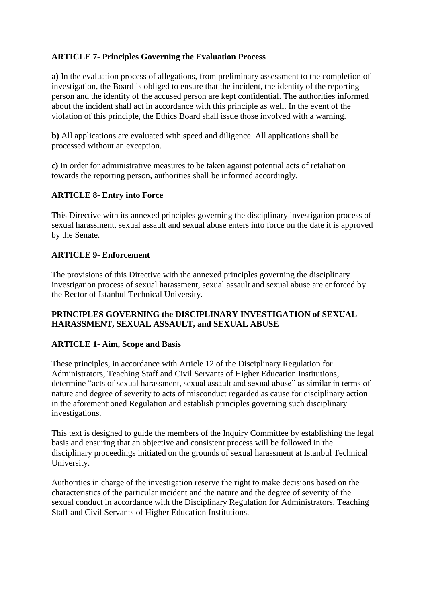## **ARTICLE 7- Principles Governing the Evaluation Process**

**a)** In the evaluation process of allegations, from preliminary assessment to the completion of investigation, the Board is obliged to ensure that the incident, the identity of the reporting person and the identity of the accused person are kept confidential. The authorities informed about the incident shall act in accordance with this principle as well. In the event of the violation of this principle, the Ethics Board shall issue those involved with a warning.

**b)** All applications are evaluated with speed and diligence. All applications shall be processed without an exception.

**c)** In order for administrative measures to be taken against potential acts of retaliation towards the reporting person, authorities shall be informed accordingly.

### **ARTICLE 8- Entry into Force**

This Directive with its annexed principles governing the disciplinary investigation process of sexual harassment, sexual assault and sexual abuse enters into force on the date it is approved by the Senate.

#### **ARTICLE 9- Enforcement**

The provisions of this Directive with the annexed principles governing the disciplinary investigation process of sexual harassment, sexual assault and sexual abuse are enforced by the Rector of Istanbul Technical University.

#### **PRINCIPLES GOVERNING the DISCIPLINARY INVESTIGATION of SEXUAL HARASSMENT, SEXUAL ASSAULT, and SEXUAL ABUSE**

### **ARTICLE 1- Aim, Scope and Basis**

These principles, in accordance with Article 12 of the Disciplinary Regulation for Administrators, Teaching Staff and Civil Servants of Higher Education Institutions, determine "acts of sexual harassment, sexual assault and sexual abuse" as similar in terms of nature and degree of severity to acts of misconduct regarded as cause for disciplinary action in the aforementioned Regulation and establish principles governing such disciplinary investigations.

This text is designed to guide the members of the Inquiry Committee by establishing the legal basis and ensuring that an objective and consistent process will be followed in the disciplinary proceedings initiated on the grounds of sexual harassment at Istanbul Technical University.

Authorities in charge of the investigation reserve the right to make decisions based on the characteristics of the particular incident and the nature and the degree of severity of the sexual conduct in accordance with the Disciplinary Regulation for Administrators, Teaching Staff and Civil Servants of Higher Education Institutions.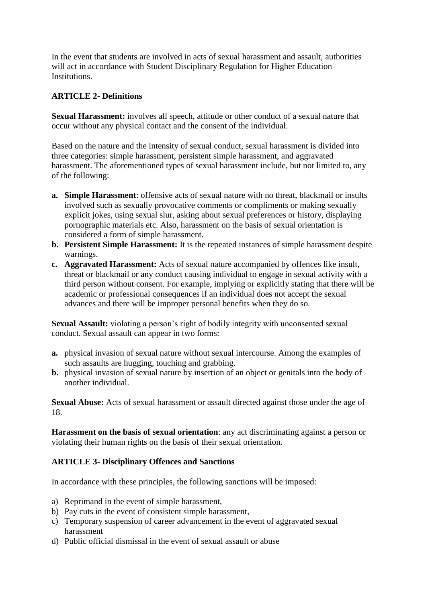In the event that students are involved in acts of sexual harassment and assault, authorities will act in accordance with Student Disciplinary Regulation for Higher Education Institutions.

## **ARTICLE 2- Definitions**

**Sexual Harassment:** involves all speech, attitude or other conduct of a sexual nature that occur without any physical contact and the consent of the individual.

Based on the nature and the intensity of sexual conduct, sexual harassment is divided into three categories: simple harassment, persistent simple harassment, and aggravated harassment. The aforementioned types of sexual harassment include, but not limited to, any of the following:

- **a. Simple Harassment**: offensive acts of sexual nature with no threat, blackmail or insults involved such as sexually provocative comments or compliments or making sexually explicit jokes, using sexual slur, asking about sexual preferences or history, displaying pornographic materials etc. Also, harassment on the basis of sexual orientation is considered a form of simple harassment.
- **b. Persistent Simple Harassment:** It is the repeated instances of simple harassment despite warnings.
- **c. Aggravated Harassment:** Acts of sexual nature accompanied by offences like insult, threat or blackmail or any conduct causing individual to engage in sexual activity with a third person without consent. For example, implying or explicitly stating that there will be academic or professional consequences if an individual does not accept the sexual advances and there will be improper personal benefits when they do so.

**Sexual Assault:** violating a person's right of bodily integrity with unconsented sexual conduct. Sexual assault can appear in two forms:

- **a.** physical invasion of sexual nature without sexual intercourse. Among the examples of such assaults are hugging, touching and grabbing.
- **b.** physical invasion of sexual nature by insertion of an object or genitals into the body of another individual.

**Sexual Abuse:** Acts of sexual harassment or assault directed against those under the age of 18.

**Harassment on the basis of sexual orientation**: any act discriminating against a person or violating their human rights on the basis of their sexual orientation.

# **ARTICLE 3- Disciplinary Offences and Sanctions**

In accordance with these principles, the following sanctions will be imposed:

- a) Reprimand in the event of simple harassment,
- b) Pay cuts in the event of consistent simple harassment,
- c) Temporary suspension of career advancement in the event of aggravated sexual harassment
- d) Public official dismissal in the event of sexual assault or abuse